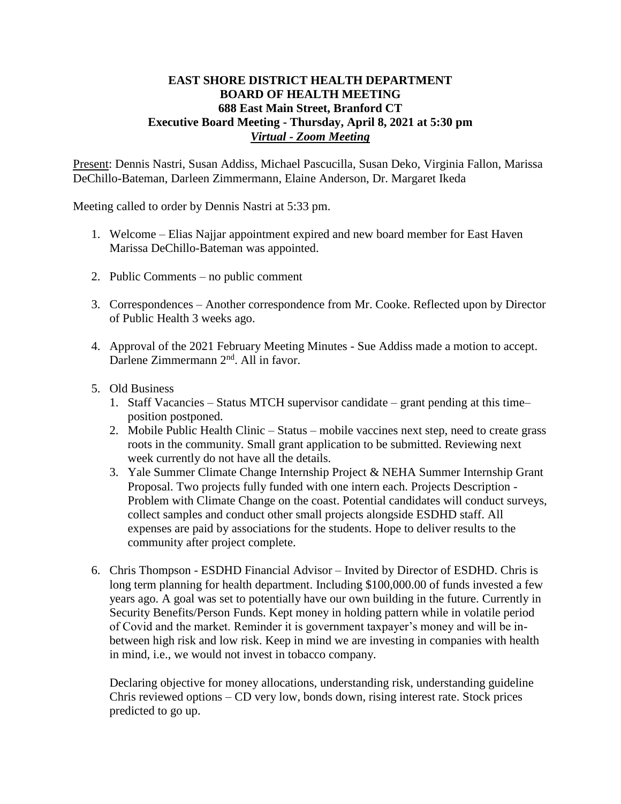## **EAST SHORE DISTRICT HEALTH DEPARTMENT BOARD OF HEALTH MEETING 688 East Main Street, Branford CT Executive Board Meeting - Thursday, April 8, 2021 at 5:30 pm** *Virtual - Zoom Meeting*

Present: Dennis Nastri, Susan Addiss, Michael Pascucilla, Susan Deko, Virginia Fallon, Marissa DeChillo-Bateman, Darleen Zimmermann, Elaine Anderson, Dr. Margaret Ikeda

Meeting called to order by Dennis Nastri at 5:33 pm.

- 1. Welcome Elias Najjar appointment expired and new board member for East Haven Marissa DeChillo-Bateman was appointed.
- 2. Public Comments no public comment
- 3. Correspondences Another correspondence from Mr. Cooke. Reflected upon by Director of Public Health 3 weeks ago.
- 4. Approval of the 2021 February Meeting Minutes Sue Addiss made a motion to accept. Darlene Zimmermann 2<sup>nd</sup>. All in favor.
- 5. Old Business
	- 1. Staff Vacancies Status MTCH supervisor candidate grant pending at this time– position postponed.
	- 2. Mobile Public Health Clinic Status mobile vaccines next step, need to create grass roots in the community. Small grant application to be submitted. Reviewing next week currently do not have all the details.
	- 3. Yale Summer Climate Change Internship Project & NEHA Summer Internship Grant Proposal. Two projects fully funded with one intern each. Projects Description - Problem with Climate Change on the coast. Potential candidates will conduct surveys, collect samples and conduct other small projects alongside ESDHD staff. All expenses are paid by associations for the students. Hope to deliver results to the community after project complete.
- 6. Chris Thompson ESDHD Financial Advisor Invited by Director of ESDHD. Chris is long term planning for health department. Including \$100,000.00 of funds invested a few years ago. A goal was set to potentially have our own building in the future. Currently in Security Benefits/Person Funds. Kept money in holding pattern while in volatile period of Covid and the market. Reminder it is government taxpayer's money and will be inbetween high risk and low risk. Keep in mind we are investing in companies with health in mind, i.e., we would not invest in tobacco company.

Declaring objective for money allocations, understanding risk, understanding guideline Chris reviewed options – CD very low, bonds down, rising interest rate. Stock prices predicted to go up.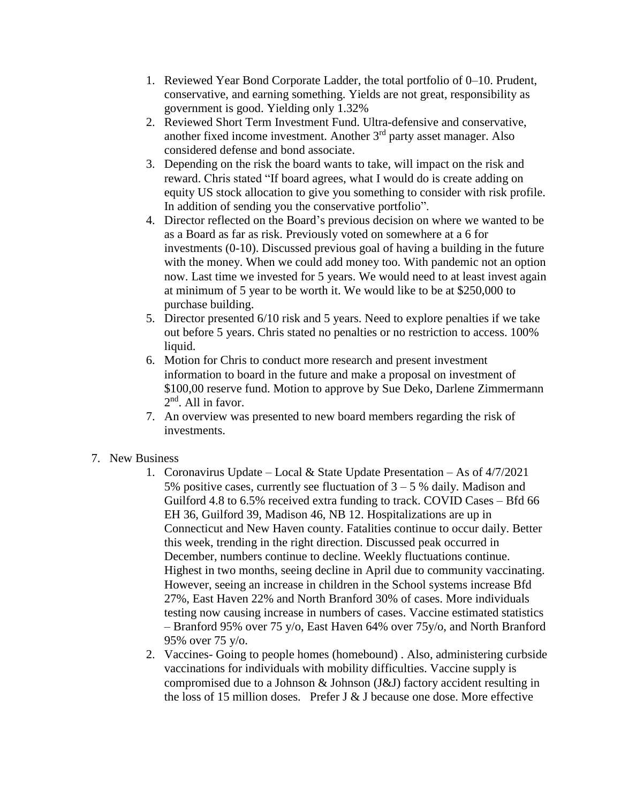- 1. Reviewed Year Bond Corporate Ladder, the total portfolio of 0–10. Prudent, conservative, and earning something. Yields are not great, responsibility as government is good. Yielding only 1.32%
- 2. Reviewed Short Term Investment Fund. Ultra-defensive and conservative, another fixed income investment. Another  $3<sup>rd</sup>$  party asset manager. Also considered defense and bond associate.
- 3. Depending on the risk the board wants to take, will impact on the risk and reward. Chris stated "If board agrees, what I would do is create adding on equity US stock allocation to give you something to consider with risk profile. In addition of sending you the conservative portfolio".
- 4. Director reflected on the Board's previous decision on where we wanted to be as a Board as far as risk. Previously voted on somewhere at a 6 for investments (0-10). Discussed previous goal of having a building in the future with the money. When we could add money too. With pandemic not an option now. Last time we invested for 5 years. We would need to at least invest again at minimum of 5 year to be worth it. We would like to be at \$250,000 to purchase building.
- 5. Director presented 6/10 risk and 5 years. Need to explore penalties if we take out before 5 years. Chris stated no penalties or no restriction to access. 100% liquid.
- 6. Motion for Chris to conduct more research and present investment information to board in the future and make a proposal on investment of \$100,00 reserve fund. Motion to approve by Sue Deko, Darlene Zimmermann 2<sup>nd</sup>. All in favor.
- 7. An overview was presented to new board members regarding the risk of investments.
- 7. New Business
	- 1. Coronavirus Update Local & State Update Presentation As of 4/7/2021 5% positive cases, currently see fluctuation of  $3 - 5$ % daily. Madison and Guilford 4.8 to 6.5% received extra funding to track. COVID Cases – Bfd 66 EH 36, Guilford 39, Madison 46, NB 12. Hospitalizations are up in Connecticut and New Haven county. Fatalities continue to occur daily. Better this week, trending in the right direction. Discussed peak occurred in December, numbers continue to decline. Weekly fluctuations continue. Highest in two months, seeing decline in April due to community vaccinating. However, seeing an increase in children in the School systems increase Bfd 27%, East Haven 22% and North Branford 30% of cases. More individuals testing now causing increase in numbers of cases. Vaccine estimated statistics – Branford 95% over 75 y/o, East Haven 64% over 75y/o, and North Branford 95% over 75 y/o.
	- 2. Vaccines- Going to people homes (homebound) . Also, administering curbside vaccinations for individuals with mobility difficulties. Vaccine supply is compromised due to a Johnson & Johnson (J&J) factory accident resulting in the loss of 15 million doses. Prefer J & J because one dose. More effective